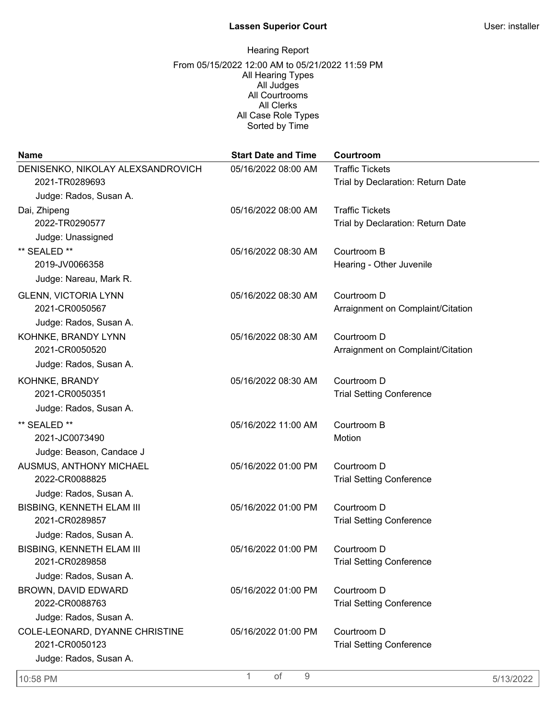# **Lassen Superior Court** User: installer

| <b>Name</b>                       | <b>Start Date and Time</b> | Courtroom                         |
|-----------------------------------|----------------------------|-----------------------------------|
| DENISENKO, NIKOLAY ALEXSANDROVICH | 05/16/2022 08:00 AM        | <b>Traffic Tickets</b>            |
| 2021-TR0289693                    |                            | Trial by Declaration: Return Date |
| Judge: Rados, Susan A.            |                            |                                   |
| Dai, Zhipeng                      | 05/16/2022 08:00 AM        | <b>Traffic Tickets</b>            |
| 2022-TR0290577                    |                            | Trial by Declaration: Return Date |
| Judge: Unassigned                 |                            |                                   |
| ** SEALED **                      | 05/16/2022 08:30 AM        | Courtroom B                       |
| 2019-JV0066358                    |                            | Hearing - Other Juvenile          |
| Judge: Nareau, Mark R.            |                            |                                   |
| <b>GLENN, VICTORIA LYNN</b>       | 05/16/2022 08:30 AM        | Courtroom D                       |
| 2021-CR0050567                    |                            | Arraignment on Complaint/Citation |
| Judge: Rados, Susan A.            |                            |                                   |
| KOHNKE, BRANDY LYNN               | 05/16/2022 08:30 AM        | Courtroom D                       |
| 2021-CR0050520                    |                            | Arraignment on Complaint/Citation |
| Judge: Rados, Susan A.            |                            |                                   |
| KOHNKE, BRANDY                    | 05/16/2022 08:30 AM        | Courtroom D                       |
| 2021-CR0050351                    |                            | <b>Trial Setting Conference</b>   |
| Judge: Rados, Susan A.            |                            |                                   |
| ** SEALED **                      | 05/16/2022 11:00 AM        | Courtroom B                       |
| 2021-JC0073490                    |                            | Motion                            |
| Judge: Beason, Candace J          |                            |                                   |
| AUSMUS, ANTHONY MICHAEL           | 05/16/2022 01:00 PM        | Courtroom D                       |
| 2022-CR0088825                    |                            | <b>Trial Setting Conference</b>   |
| Judge: Rados, Susan A.            |                            |                                   |
| <b>BISBING, KENNETH ELAM III</b>  | 05/16/2022 01:00 PM        | Courtroom D                       |
| 2021-CR0289857                    |                            | <b>Trial Setting Conference</b>   |
| Judge: Rados, Susan A.            |                            |                                   |
| <b>BISBING, KENNETH ELAM III</b>  | 05/16/2022 01:00 PM        | Courtroom D                       |
| 2021-CR0289858                    |                            | <b>Trial Setting Conference</b>   |
| Judge: Rados, Susan A.            |                            |                                   |
| BROWN, DAVID EDWARD               | 05/16/2022 01:00 PM        | Courtroom D                       |
| 2022-CR0088763                    |                            | <b>Trial Setting Conference</b>   |
| Judge: Rados, Susan A.            |                            |                                   |
| COLE-LEONARD, DYANNE CHRISTINE    | 05/16/2022 01:00 PM        | Courtroom D                       |
| 2021-CR0050123                    |                            | <b>Trial Setting Conference</b>   |
| Judge: Rados, Susan A.            |                            |                                   |
| 10:58 PM                          | 1<br>of<br>$9\,$           | 5/13/2022                         |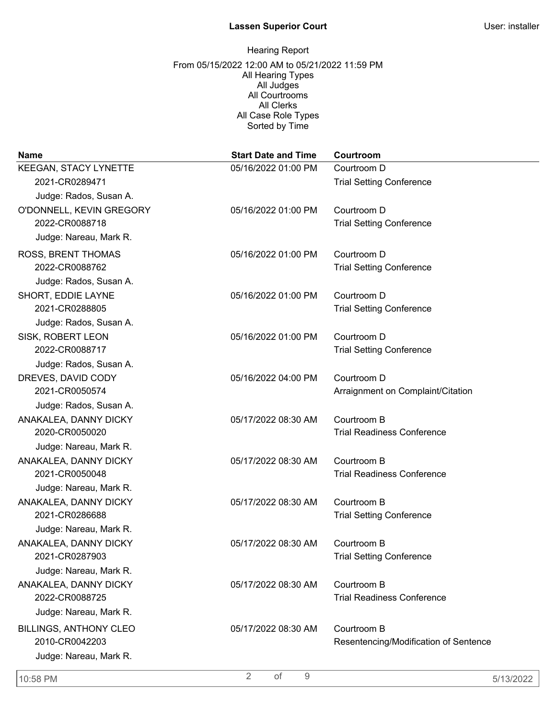| <b>Name</b>                   | <b>Start Date and Time</b> | Courtroom                             |
|-------------------------------|----------------------------|---------------------------------------|
| KEEGAN, STACY LYNETTE         | 05/16/2022 01:00 PM        | Courtroom D                           |
| 2021-CR0289471                |                            | <b>Trial Setting Conference</b>       |
| Judge: Rados, Susan A.        |                            |                                       |
| O'DONNELL, KEVIN GREGORY      | 05/16/2022 01:00 PM        | Courtroom D                           |
| 2022-CR0088718                |                            | <b>Trial Setting Conference</b>       |
| Judge: Nareau, Mark R.        |                            |                                       |
| ROSS, BRENT THOMAS            | 05/16/2022 01:00 PM        | Courtroom D                           |
| 2022-CR0088762                |                            | <b>Trial Setting Conference</b>       |
| Judge: Rados, Susan A.        |                            |                                       |
| SHORT, EDDIE LAYNE            | 05/16/2022 01:00 PM        | Courtroom D                           |
| 2021-CR0288805                |                            | <b>Trial Setting Conference</b>       |
| Judge: Rados, Susan A.        |                            |                                       |
| SISK, ROBERT LEON             | 05/16/2022 01:00 PM        | Courtroom D                           |
| 2022-CR0088717                |                            | <b>Trial Setting Conference</b>       |
| Judge: Rados, Susan A.        |                            |                                       |
| DREVES, DAVID CODY            | 05/16/2022 04:00 PM        | Courtroom D                           |
| 2021-CR0050574                |                            | Arraignment on Complaint/Citation     |
| Judge: Rados, Susan A.        |                            |                                       |
| ANAKALEA, DANNY DICKY         | 05/17/2022 08:30 AM        | Courtroom B                           |
| 2020-CR0050020                |                            | <b>Trial Readiness Conference</b>     |
| Judge: Nareau, Mark R.        |                            |                                       |
| ANAKALEA, DANNY DICKY         | 05/17/2022 08:30 AM        | Courtroom B                           |
| 2021-CR0050048                |                            | <b>Trial Readiness Conference</b>     |
| Judge: Nareau, Mark R.        |                            |                                       |
| ANAKALEA, DANNY DICKY         | 05/17/2022 08:30 AM        | Courtroom B                           |
| 2021-CR0286688                |                            | <b>Trial Setting Conference</b>       |
| Judge: Nareau, Mark R.        |                            |                                       |
| ANAKALEA, DANNY DICKY         | 05/17/2022 08:30 AM        | Courtroom B                           |
| 2021-CR0287903                |                            | <b>Trial Setting Conference</b>       |
| Judge: Nareau, Mark R.        |                            |                                       |
| ANAKALEA, DANNY DICKY         | 05/17/2022 08:30 AM        | Courtroom B                           |
| 2022-CR0088725                |                            | <b>Trial Readiness Conference</b>     |
| Judge: Nareau, Mark R.        |                            |                                       |
| <b>BILLINGS, ANTHONY CLEO</b> | 05/17/2022 08:30 AM        | Courtroom B                           |
| 2010-CR0042203                |                            | Resentencing/Modification of Sentence |
| Judge: Nareau, Mark R.        |                            |                                       |
| 10:58 PM                      | $\overline{2}$<br>of<br>9  | 5/13/2022                             |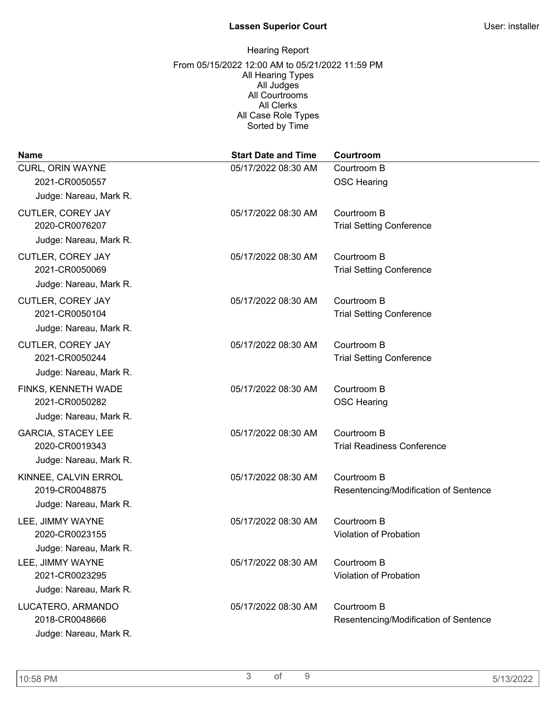| <b>Name</b>                         | <b>Start Date and Time</b> | Courtroom                                            |
|-------------------------------------|----------------------------|------------------------------------------------------|
| CURL, ORIN WAYNE                    | 05/17/2022 08:30 AM        | Courtroom B                                          |
| 2021-CR0050557                      |                            | <b>OSC Hearing</b>                                   |
| Judge: Nareau, Mark R.              |                            |                                                      |
| <b>CUTLER, COREY JAY</b>            | 05/17/2022 08:30 AM        | Courtroom B                                          |
| 2020-CR0076207                      |                            | <b>Trial Setting Conference</b>                      |
| Judge: Nareau, Mark R.              |                            |                                                      |
| <b>CUTLER, COREY JAY</b>            | 05/17/2022 08:30 AM        | Courtroom B                                          |
| 2021-CR0050069                      |                            | <b>Trial Setting Conference</b>                      |
| Judge: Nareau, Mark R.              |                            |                                                      |
| CUTLER, COREY JAY                   | 05/17/2022 08:30 AM        | Courtroom B                                          |
| 2021-CR0050104                      |                            | <b>Trial Setting Conference</b>                      |
| Judge: Nareau, Mark R.              |                            |                                                      |
| CUTLER, COREY JAY                   | 05/17/2022 08:30 AM        | Courtroom B                                          |
| 2021-CR0050244                      |                            | <b>Trial Setting Conference</b>                      |
| Judge: Nareau, Mark R.              |                            |                                                      |
| FINKS, KENNETH WADE                 | 05/17/2022 08:30 AM        | Courtroom B                                          |
| 2021-CR0050282                      |                            | <b>OSC Hearing</b>                                   |
| Judge: Nareau, Mark R.              |                            |                                                      |
| <b>GARCIA, STACEY LEE</b>           | 05/17/2022 08:30 AM        | Courtroom B                                          |
| 2020-CR0019343                      |                            | <b>Trial Readiness Conference</b>                    |
| Judge: Nareau, Mark R.              |                            |                                                      |
| KINNEE, CALVIN ERROL                | 05/17/2022 08:30 AM        | Courtroom B                                          |
| 2019-CR0048875                      |                            | Resentencing/Modification of Sentence                |
| Judge: Nareau, Mark R.              |                            |                                                      |
| LEE, JIMMY WAYNE                    | 05/17/2022 08:30 AM        | Courtroom B                                          |
| 2020-CR0023155                      |                            | <b>Violation of Probation</b>                        |
| Judge: Nareau, Mark R.              |                            |                                                      |
| LEE, JIMMY WAYNE<br>2021-CR0023295  | 05/17/2022 08:30 AM        | Courtroom B<br>Violation of Probation                |
| Judge: Nareau, Mark R.              |                            |                                                      |
|                                     |                            |                                                      |
| LUCATERO, ARMANDO<br>2018-CR0048666 | 05/17/2022 08:30 AM        | Courtroom B<br>Resentencing/Modification of Sentence |
| Judge: Nareau, Mark R.              |                            |                                                      |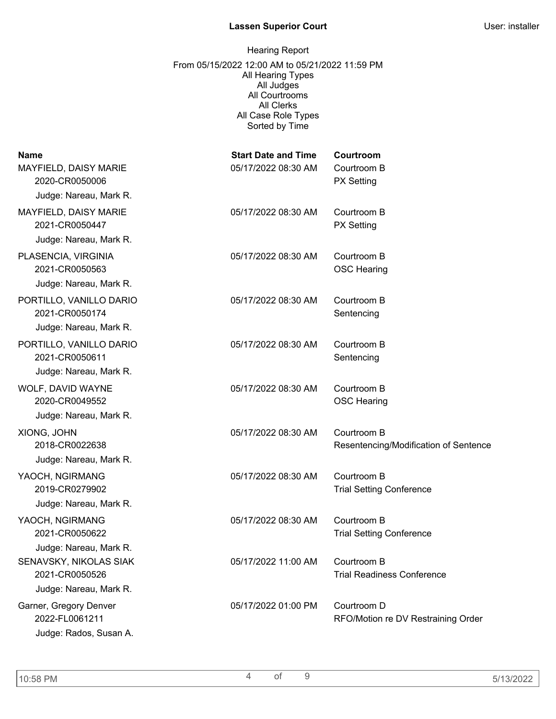| <b>Name</b><br>MAYFIELD, DAISY MARIE<br>2020-CR0050006<br>Judge: Nareau, Mark R. | <b>Start Date and Time</b><br>05/17/2022 08:30 AM | Courtroom<br>Courtroom B<br><b>PX Setting</b>        |
|----------------------------------------------------------------------------------|---------------------------------------------------|------------------------------------------------------|
| MAYFIELD, DAISY MARIE<br>2021-CR0050447<br>Judge: Nareau, Mark R.                | 05/17/2022 08:30 AM                               | Courtroom B<br><b>PX Setting</b>                     |
| PLASENCIA, VIRGINIA<br>2021-CR0050563<br>Judge: Nareau, Mark R.                  | 05/17/2022 08:30 AM                               | Courtroom B<br><b>OSC Hearing</b>                    |
| PORTILLO, VANILLO DARIO<br>2021-CR0050174<br>Judge: Nareau, Mark R.              | 05/17/2022 08:30 AM                               | Courtroom B<br>Sentencing                            |
| PORTILLO, VANILLO DARIO<br>2021-CR0050611<br>Judge: Nareau, Mark R.              | 05/17/2022 08:30 AM                               | Courtroom B<br>Sentencing                            |
| WOLF, DAVID WAYNE<br>2020-CR0049552<br>Judge: Nareau, Mark R.                    | 05/17/2022 08:30 AM                               | Courtroom B<br><b>OSC Hearing</b>                    |
| XIONG, JOHN<br>2018-CR0022638<br>Judge: Nareau, Mark R.                          | 05/17/2022 08:30 AM                               | Courtroom B<br>Resentencing/Modification of Sentence |
| YAOCH, NGIRMANG<br>2019-CR0279902<br>Judge: Nareau, Mark R.                      | 05/17/2022 08:30 AM                               | Courtroom B<br><b>Trial Setting Conference</b>       |
| YAOCH, NGIRMANG<br>2021-CR0050622<br>Judge: Nareau, Mark R.                      | 05/17/2022 08:30 AM                               | Courtroom B<br><b>Trial Setting Conference</b>       |
| SENAVSKY, NIKOLAS SIAK<br>2021-CR0050526<br>Judge: Nareau, Mark R.               | 05/17/2022 11:00 AM                               | Courtroom B<br><b>Trial Readiness Conference</b>     |
| Garner, Gregory Denver<br>2022-FL0061211<br>Judge: Rados, Susan A.               | 05/17/2022 01:00 PM                               | Courtroom D<br>RFO/Motion re DV Restraining Order    |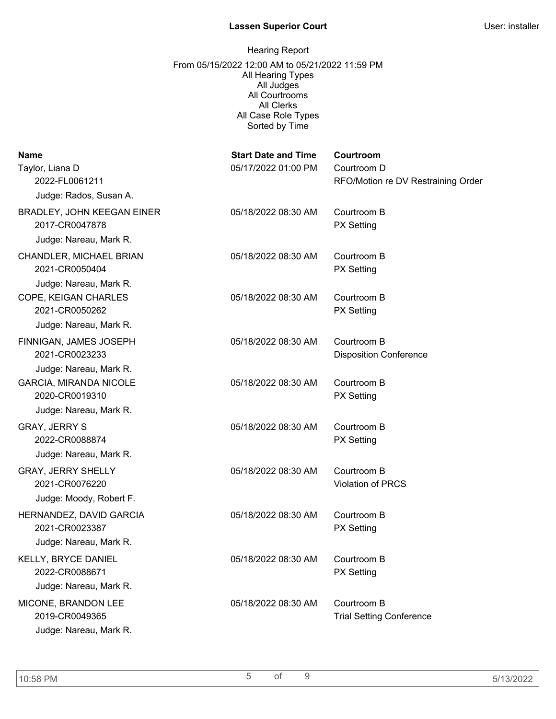| <b>Name</b><br>Taylor, Liana D<br>2022-FL0061211                       | <b>Start Date and Time</b><br>05/17/2022 01:00 PM | Courtroom<br>Courtroom D<br>RFO/Motion re DV Restraining Order |
|------------------------------------------------------------------------|---------------------------------------------------|----------------------------------------------------------------|
| Judge: Rados, Susan A.                                                 |                                                   |                                                                |
| BRADLEY, JOHN KEEGAN EINER<br>2017-CR0047878<br>Judge: Nareau, Mark R. | 05/18/2022 08:30 AM                               | Courtroom B<br><b>PX Setting</b>                               |
| CHANDLER, MICHAEL BRIAN<br>2021-CR0050404<br>Judge: Nareau, Mark R.    | 05/18/2022 08:30 AM                               | Courtroom B<br><b>PX Setting</b>                               |
| COPE, KEIGAN CHARLES<br>2021-CR0050262<br>Judge: Nareau, Mark R.       | 05/18/2022 08:30 AM                               | Courtroom B<br><b>PX Setting</b>                               |
| FINNIGAN, JAMES JOSEPH<br>2021-CR0023233                               | 05/18/2022 08:30 AM                               | Courtroom B<br><b>Disposition Conference</b>                   |
| Judge: Nareau, Mark R.<br>GARCIA, MIRANDA NICOLE<br>2020-CR0019310     | 05/18/2022 08:30 AM                               | Courtroom B<br><b>PX Setting</b>                               |
| Judge: Nareau, Mark R.                                                 |                                                   |                                                                |
| <b>GRAY, JERRY S</b><br>2022-CR0088874<br>Judge: Nareau, Mark R.       | 05/18/2022 08:30 AM                               | Courtroom B<br><b>PX Setting</b>                               |
| <b>GRAY, JERRY SHELLY</b><br>2021-CR0076220<br>Judge: Moody, Robert F. | 05/18/2022 08:30 AM                               | Courtroom B<br><b>Violation of PRCS</b>                        |
| HERNANDEZ, DAVID GARCIA<br>2021-CR0023387                              | 05/18/2022 08:30 AM                               | Courtroom B<br><b>PX Setting</b>                               |
| Judge: Nareau, Mark R.                                                 |                                                   |                                                                |
| KELLY, BRYCE DANIEL<br>2022-CR0088671                                  | 05/18/2022 08:30 AM                               | Courtroom B<br><b>PX Setting</b>                               |
| Judge: Nareau, Mark R.                                                 |                                                   |                                                                |
| MICONE, BRANDON LEE<br>2019-CR0049365<br>Judge: Nareau, Mark R.        | 05/18/2022 08:30 AM                               | Courtroom B<br><b>Trial Setting Conference</b>                 |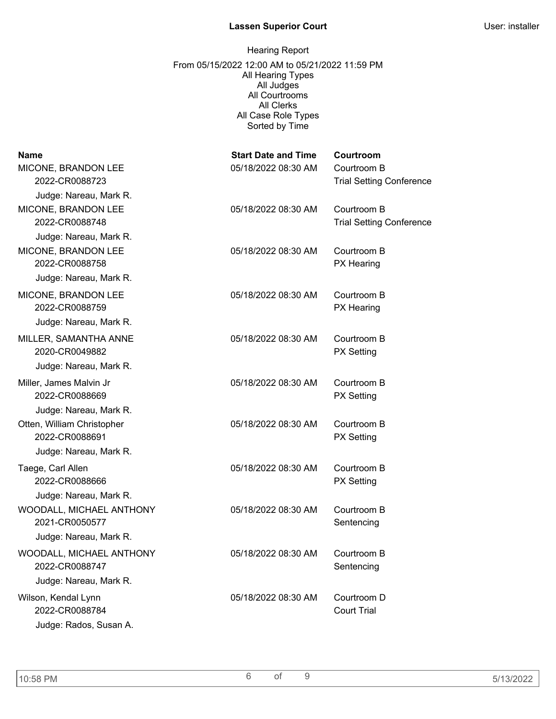| <b>Name</b><br>MICONE, BRANDON LEE<br>2022-CR0088723                                             | <b>Start Date and Time</b><br>05/18/2022 08:30 AM | Courtroom<br>Courtroom B<br><b>Trial Setting Conference</b> |
|--------------------------------------------------------------------------------------------------|---------------------------------------------------|-------------------------------------------------------------|
| Judge: Nareau, Mark R.<br>MICONE, BRANDON LEE<br>2022-CR0088748                                  | 05/18/2022 08:30 AM                               | Courtroom B<br><b>Trial Setting Conference</b>              |
| Judge: Nareau, Mark R.<br>MICONE, BRANDON LEE<br>2022-CR0088758                                  | 05/18/2022 08:30 AM                               | Courtroom B<br>PX Hearing                                   |
| Judge: Nareau, Mark R.<br>MICONE, BRANDON LEE<br>2022-CR0088759                                  | 05/18/2022 08:30 AM                               | Courtroom B<br>PX Hearing                                   |
| Judge: Nareau, Mark R.<br>MILLER, SAMANTHA ANNE<br>2020-CR0049882                                | 05/18/2022 08:30 AM                               | Courtroom B<br><b>PX Setting</b>                            |
| Judge: Nareau, Mark R.<br>Miller, James Malvin Jr<br>2022-CR0088669                              | 05/18/2022 08:30 AM                               | Courtroom B<br><b>PX Setting</b>                            |
| Judge: Nareau, Mark R.<br>Otten, William Christopher<br>2022-CR0088691<br>Judge: Nareau, Mark R. | 05/18/2022 08:30 AM                               | Courtroom B<br><b>PX Setting</b>                            |
| Taege, Carl Allen<br>2022-CR0088666                                                              | 05/18/2022 08:30 AM                               | Courtroom B<br><b>PX Setting</b>                            |
| Judge: Nareau, Mark R.<br>WOODALL, MICHAEL ANTHONY<br>2021-CR0050577                             | 05/18/2022 08:30 AM                               | Courtroom B<br>Sentencing                                   |
| Judge: Nareau, Mark R.<br>WOODALL, MICHAEL ANTHONY<br>2022-CR0088747                             | 05/18/2022 08:30 AM                               | Courtroom B<br>Sentencing                                   |
| Judge: Nareau, Mark R.<br>Wilson, Kendal Lynn<br>2022-CR0088784<br>Judge: Rados, Susan A.        | 05/18/2022 08:30 AM                               | Courtroom D<br><b>Court Trial</b>                           |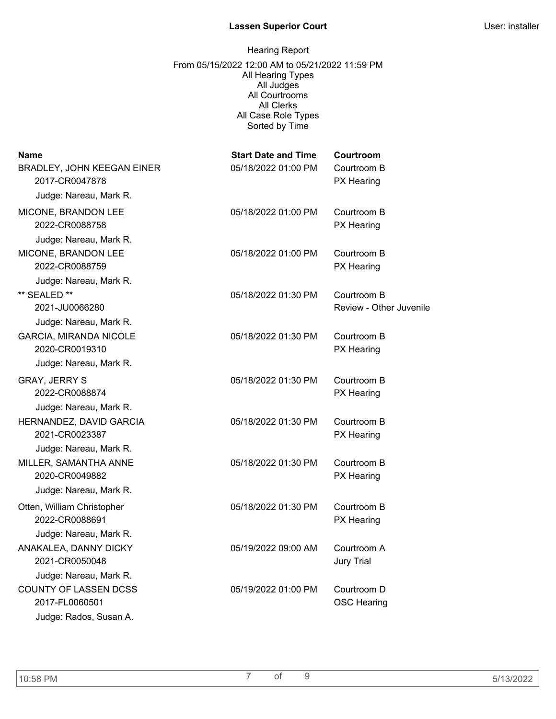| <b>Name</b>                                         | <b>Start Date and Time</b> | Courtroom                              |
|-----------------------------------------------------|----------------------------|----------------------------------------|
| <b>BRADLEY, JOHN KEEGAN EINER</b><br>2017-CR0047878 | 05/18/2022 01:00 PM        | Courtroom B<br>PX Hearing              |
| Judge: Nareau, Mark R.                              |                            |                                        |
| MICONE, BRANDON LEE<br>2022-CR0088758               | 05/18/2022 01:00 PM        | Courtroom B<br>PX Hearing              |
| Judge: Nareau, Mark R.                              | 05/18/2022 01:00 PM        | Courtroom B                            |
| MICONE, BRANDON LEE<br>2022-CR0088759               |                            | <b>PX Hearing</b>                      |
| Judge: Nareau, Mark R.                              |                            |                                        |
| ** SEALED **<br>2021-JU0066280                      | 05/18/2022 01:30 PM        | Courtroom B<br>Review - Other Juvenile |
| Judge: Nareau, Mark R.                              |                            |                                        |
| <b>GARCIA, MIRANDA NICOLE</b><br>2020-CR0019310     | 05/18/2022 01:30 PM        | Courtroom B<br><b>PX Hearing</b>       |
| Judge: Nareau, Mark R.                              |                            |                                        |
| <b>GRAY, JERRY S</b><br>2022-CR0088874              | 05/18/2022 01:30 PM        | Courtroom B<br>PX Hearing              |
| Judge: Nareau, Mark R.                              |                            |                                        |
| HERNANDEZ, DAVID GARCIA<br>2021-CR0023387           | 05/18/2022 01:30 PM        | Courtroom B<br>PX Hearing              |
| Judge: Nareau, Mark R.                              |                            |                                        |
| MILLER, SAMANTHA ANNE<br>2020-CR0049882             | 05/18/2022 01:30 PM        | Courtroom B<br><b>PX</b> Hearing       |
| Judge: Nareau, Mark R.                              |                            |                                        |
| Otten, William Christopher<br>2022-CR0088691        | 05/18/2022 01:30 PM        | Courtroom B<br>PX Hearing              |
| Judge: Nareau, Mark R.                              |                            |                                        |
| ANAKALEA, DANNY DICKY<br>2021-CR0050048             | 05/19/2022 09:00 AM        | Courtroom A<br><b>Jury Trial</b>       |
| Judge: Nareau, Mark R.                              |                            |                                        |
| <b>COUNTY OF LASSEN DCSS</b><br>2017-FL0060501      | 05/19/2022 01:00 PM        | Courtroom D<br><b>OSC Hearing</b>      |
| Judge: Rados, Susan A.                              |                            |                                        |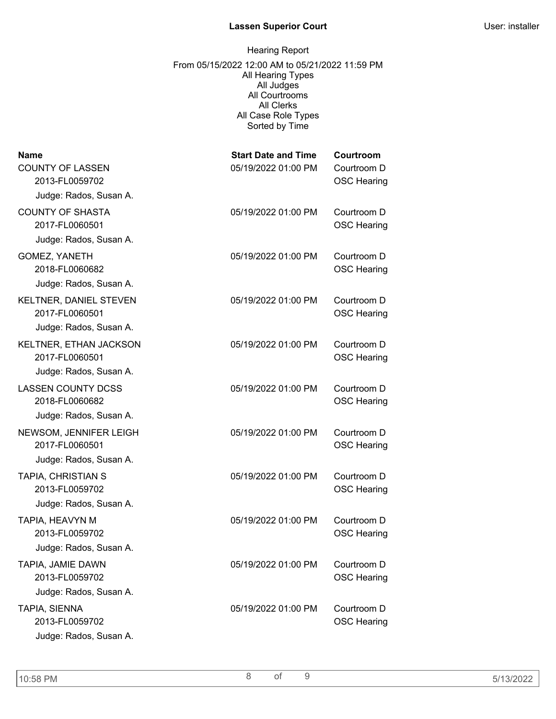## Hearing Report From 05/15/2022 12:00 AM to 05/21/2022 11:59 PM All Hearing Types All Judges All Courtrooms All Clerks All Case Role Types Sorted by Time

| <b>Name</b><br><b>COUNTY OF LASSEN</b><br>2013-FL0059702 | <b>Start Date and Time</b><br>05/19/2022 01:00 PM | Courtroom<br>Courtroom D<br><b>OSC Hearing</b> |
|----------------------------------------------------------|---------------------------------------------------|------------------------------------------------|
| Judge: Rados, Susan A.                                   |                                                   |                                                |
| <b>COUNTY OF SHASTA</b><br>2017-FL0060501                | 05/19/2022 01:00 PM                               | Courtroom D<br><b>OSC Hearing</b>              |
| Judge: Rados, Susan A.                                   |                                                   |                                                |
| <b>GOMEZ, YANETH</b><br>2018-FL0060682                   | 05/19/2022 01:00 PM                               | Courtroom D<br><b>OSC Hearing</b>              |
| Judge: Rados, Susan A.                                   |                                                   |                                                |
| KELTNER, DANIEL STEVEN<br>2017-FL0060501                 | 05/19/2022 01:00 PM                               | Courtroom D<br><b>OSC Hearing</b>              |
| Judge: Rados, Susan A.                                   |                                                   |                                                |
| KELTNER, ETHAN JACKSON<br>2017-FL0060501                 | 05/19/2022 01:00 PM                               | Courtroom D<br><b>OSC Hearing</b>              |
| Judge: Rados, Susan A.                                   |                                                   |                                                |
| <b>LASSEN COUNTY DCSS</b><br>2018-FL0060682              | 05/19/2022 01:00 PM                               | Courtroom D<br><b>OSC Hearing</b>              |
| Judge: Rados, Susan A.                                   |                                                   |                                                |
| NEWSOM, JENNIFER LEIGH<br>2017-FL0060501                 | 05/19/2022 01:00 PM                               | Courtroom D<br><b>OSC Hearing</b>              |
| Judge: Rados, Susan A.                                   |                                                   |                                                |
| <b>TAPIA, CHRISTIAN S</b><br>2013-FL0059702              | 05/19/2022 01:00 PM                               | Courtroom D<br><b>OSC Hearing</b>              |
| Judge: Rados, Susan A.                                   |                                                   |                                                |
| TAPIA, HEAVYN M<br>2013-FL0059702                        | 05/19/2022 01:00 PM                               | Courtroom D<br><b>OSC Hearing</b>              |
| Judge: Rados, Susan A.                                   |                                                   |                                                |
| TAPIA, JAMIE DAWN<br>2013-FL0059702                      | 05/19/2022 01:00 PM                               | Courtroom D<br><b>OSC Hearing</b>              |
| Judge: Rados, Susan A.                                   |                                                   |                                                |
| TAPIA, SIENNA<br>2013-FL0059702                          | 05/19/2022 01:00 PM                               | Courtroom D<br><b>OSC Hearing</b>              |
| Judge: Rados, Susan A.                                   |                                                   |                                                |

10:58 PM 8 of